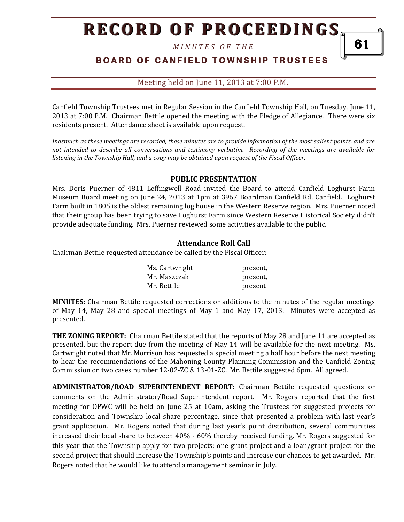# **RECORD OF PROCEEDINGS**

*M I N U T E S O F T H E* 

### **B O A R D O F C A N F I E L D T O W N S H I P T R U S T E E S**

Meeting held on June 11, 2013 at 7:00 P.M**.**

Canfield Township Trustees met in Regular Session in the Canfield Township Hall, on Tuesday, June 11, 2013 at 7:00 P.M. Chairman Bettile opened the meeting with the Pledge of Allegiance. There were six residents present. Attendance sheet is available upon request.

*Inasmuch as these meetings are recorded, these minutes are to provide information of the most salient points, and are not intended to describe all conversations and testimony verbatim. Recording of the meetings are available for listening in the Township Hall, and a copy may be obtained upon request of the Fiscal Officer.* 

#### **PUBLIC PRESENTATION**

Mrs. Doris Puerner of 4811 Leffingwell Road invited the Board to attend Canfield Loghurst Farm Museum Board meeting on June 24, 2013 at 1pm at 3967 Boardman Canfield Rd, Canfield. Loghurst Farm built in 1805 is the oldest remaining log house in the Western Reserve region. Mrs. Puerner noted that their group has been trying to save Loghurst Farm since Western Reserve Historical Society didn't provide adequate funding. Mrs. Puerner reviewed some activities available to the public.

#### **Attendance Roll Call**

Chairman Bettile requested attendance be called by the Fiscal Officer:

| Ms. Cartwright | present, |
|----------------|----------|
| Mr. Maszczak   | present, |
| Mr. Bettile    | present  |

**MINUTES:** Chairman Bettile requested corrections or additions to the minutes of the regular meetings of May 14, May 28 and special meetings of May 1 and May 17, 2013. Minutes were accepted as presented.

**THE ZONING REPORT:** Chairman Bettile stated that the reports of May 28 and June 11 are accepted as presented, but the report due from the meeting of May 14 will be available for the next meeting. Ms. Cartwright noted that Mr. Morrison has requested a special meeting a half hour before the next meeting to hear the recommendations of the Mahoning County Planning Commission and the Canfield Zoning Commission on two cases number 12-02-ZC & 13-01-ZC. Mr. Bettile suggested 6pm. All agreed.

**ADMINISTRATOR/ROAD SUPERINTENDENT REPORT:** Chairman Bettile requested questions or comments on the Administrator/Road Superintendent report. Mr. Rogers reported that the first meeting for OPWC will be held on June 25 at 10am, asking the Trustees for suggested projects for consideration and Township local share percentage, since that presented a problem with last year's grant application. Mr. Rogers noted that during last year's point distribution, several communities increased their local share to between 40% - 60% thereby received funding. Mr. Rogers suggested for this year that the Township apply for two projects; one grant project and a loan/grant project for the second project that should increase the Township's points and increase our chances to get awarded. Mr. Rogers noted that he would like to attend a management seminar in July.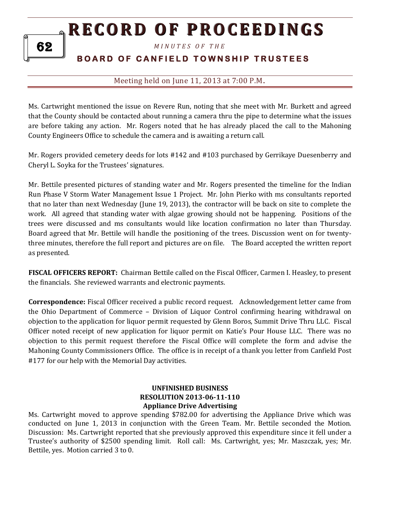## **RECORD OF PROCEEDINGS**

*M I N U T E S O F T H E* 

### **BOARD OF CANFIELD TOWNSHIP TRUSTEES**

#### Meeting held on June 11, 2013 at 7:00 P.M**.**

Ms. Cartwright mentioned the issue on Revere Run, noting that she meet with Mr. Burkett and agreed that the County should be contacted about running a camera thru the pipe to determine what the issues are before taking any action. Mr. Rogers noted that he has already placed the call to the Mahoning County Engineers Office to schedule the camera and is awaiting a return call.

Mr. Rogers provided cemetery deeds for lots #142 and #103 purchased by Gerrikaye Duesenberry and Cheryl L. Soyka for the Trustees' signatures.

Mr. Bettile presented pictures of standing water and Mr. Rogers presented the timeline for the Indian Run Phase V Storm Water Management Issue 1 Project. Mr. John Pierko with ms consultants reported that no later than next Wednesday (June 19, 2013), the contractor will be back on site to complete the work. All agreed that standing water with algae growing should not be happening. Positions of the trees were discussed and ms consultants would like location confirmation no later than Thursday. Board agreed that Mr. Bettile will handle the positioning of the trees. Discussion went on for twentythree minutes, therefore the full report and pictures are on file. The Board accepted the written report as presented.

**FISCAL OFFICERS REPORT:** Chairman Bettile called on the Fiscal Officer, Carmen I. Heasley, to present the financials. She reviewed warrants and electronic payments.

**Correspondence:** Fiscal Officer received a public record request. Acknowledgement letter came from the Ohio Department of Commerce – Division of Liquor Control confirming hearing withdrawal on objection to the application for liquor permit requested by Glenn Boros, Summit Drive Thru LLC. Fiscal Officer noted receipt of new application for liquor permit on Katie's Pour House LLC. There was no objection to this permit request therefore the Fiscal Office will complete the form and advise the Mahoning County Commissioners Office. The office is in receipt of a thank you letter from Canfield Post #177 for our help with the Memorial Day activities.

#### **UNFINISHED BUSINESS RESOLUTION 2013-06-11-110 Appliance Drive Advertising**

Ms. Cartwright moved to approve spending \$782.00 for advertising the Appliance Drive which was conducted on June 1, 2013 in conjunction with the Green Team. Mr. Bettile seconded the Motion. Discussion: Ms. Cartwright reported that she previously approved this expenditure since it fell under a Trustee's authority of \$2500 spending limit. Roll call: Ms. Cartwright, yes; Mr. Maszczak, yes; Mr. Bettile, yes. Motion carried 3 to 0.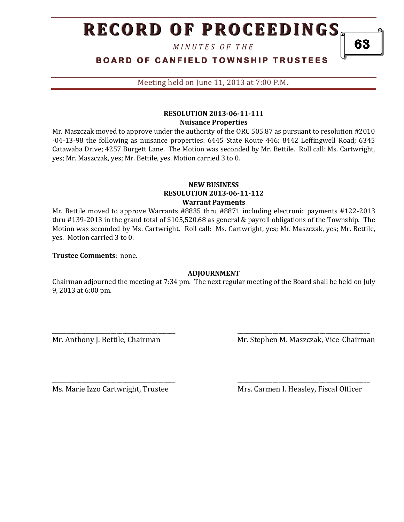# **RECORD OF PROCEEDINGS**

*M I N U T E S O F T H E* 

**BOARD OF CANFIELD TOWNSHIP TRUSTEES** 

Meeting held on June 11, 2013 at 7:00 P.M**.**

#### **RESOLUTION 2013-06-11-111 Nuisance Properties**

Mr. Maszczak moved to approve under the authority of the ORC 505.87 as pursuant to resolution #2010 -04-13-98 the following as nuisance properties: 6445 State Route 446; 8442 Leffingwell Road; 6345 Catawaba Drive; 4257 Burgett Lane. The Motion was seconded by Mr. Bettile. Roll call: Ms. Cartwright, yes; Mr. Maszczak, yes; Mr. Bettile, yes. Motion carried 3 to 0.

#### **NEW BUSINESS RESOLUTION 2013-06-11-112 Warrant Payments**

Mr. Bettile moved to approve Warrants #8835 thru #8871 including electronic payments #122-2013 thru #139-2013 in the grand total of \$105,520.68 as general & payroll obligations of the Township. The Motion was seconded by Ms. Cartwright. Roll call: Ms. Cartwright, yes; Mr. Maszczak, yes; Mr. Bettile, yes. Motion carried 3 to 0.

**Trustee Comments**: none.

#### **ADJOURNMENT**

Chairman adjourned the meeting at 7:34 pm. The next regular meeting of the Board shall be held on July 9, 2013 at 6:00 pm.

\_\_\_\_\_\_\_\_\_\_\_\_\_\_\_\_\_\_\_\_\_\_\_\_\_\_\_\_\_\_\_\_\_\_\_\_\_\_\_\_\_\_ \_\_\_\_\_\_\_\_\_\_\_\_\_\_\_\_\_\_\_\_\_\_\_\_\_\_\_\_\_\_\_\_\_\_\_\_\_\_\_\_\_\_\_\_\_

\_\_\_\_\_\_\_\_\_\_\_\_\_\_\_\_\_\_\_\_\_\_\_\_\_\_\_\_\_\_\_\_\_\_\_\_\_\_\_\_\_\_ \_\_\_\_\_\_\_\_\_\_\_\_\_\_\_\_\_\_\_\_\_\_\_\_\_\_\_\_\_\_\_\_\_\_\_\_\_\_\_\_\_\_\_\_\_

Mr. Anthony J. Bettile, Chairman Mr. Stephen M. Maszczak, Vice-Chairman

Ms. Marie Izzo Cartwright, Trustee Mrs. Carmen I. Heasley, Fiscal Officer